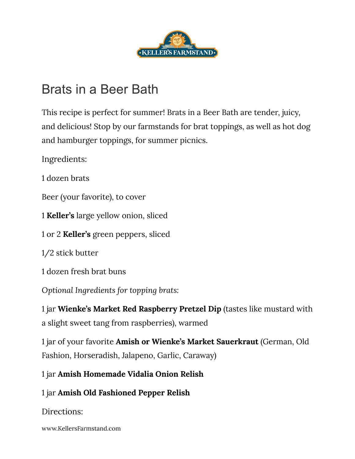

## Brats in a Beer Bath

This recipe is perfect for summer! Brats in a Beer Bath are tender, juicy, and delicious! Stop by our farmstands for brat toppings, as well as hot dog and hamburger toppings, for summer picnics.

Ingredients:

1 dozen brats

Beer (your favorite), to cover

1 **Keller's** large yellow onion, sliced

1 or 2 **Keller's** green peppers, sliced

1/2 stick butter

1 dozen fresh brat buns

*Optional Ingredients for topping brats:*

1 jar **Wienke's Market Red Raspberry Pretzel Dip** (tastes like mustard with a slight sweet tang from raspberries), warmed

1 jar of your favorite **Amish or Wienke's Market Sauerkraut** (German, Old Fashion, Horseradish, Jalapeno, Garlic, Caraway)

1 jar **Amish Homemade Vidalia Onion Relish**

1 jar **Amish Old Fashioned Pepper Relish**

Directions:

www.KellersFarmstand.com